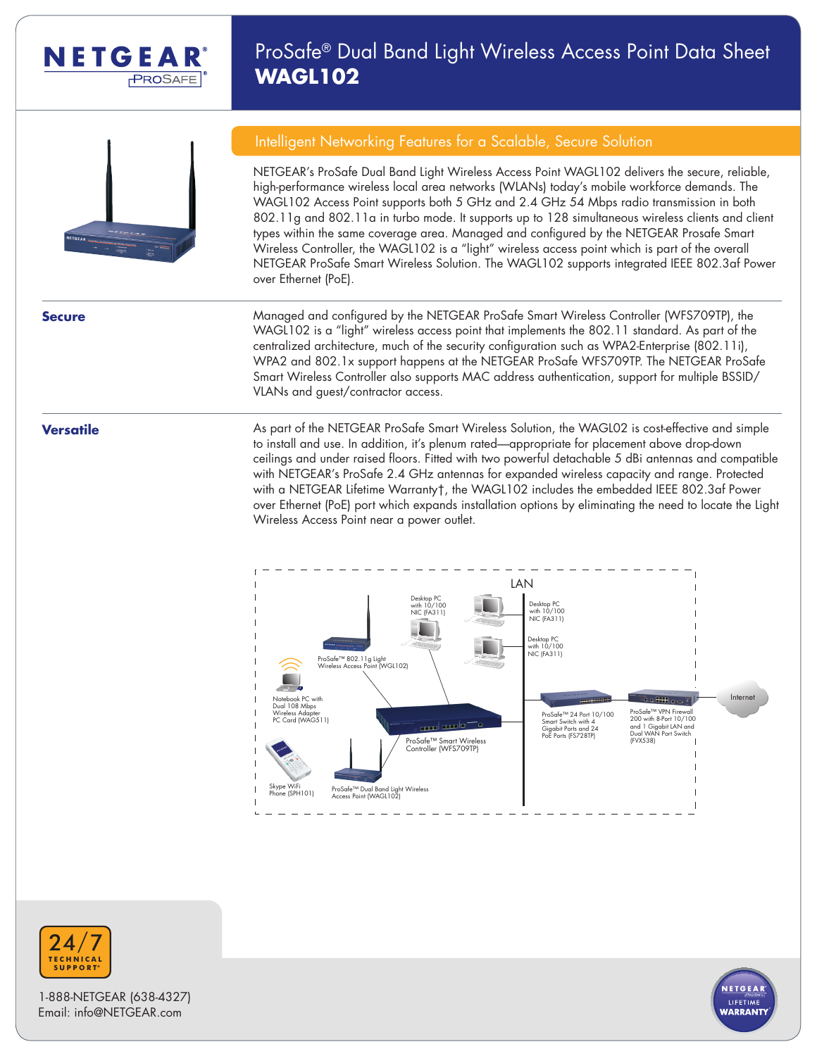

## ProSafe® Dual Band Light Wireless Access Point Data Sheet **WAGL102**



#### Intelligent Networking Features for a Scalable, Secure Solution

NETGEAR's ProSafe Dual Band Light Wireless Access Point WAGL102 delivers the secure, reliable, high-performance wireless local area networks (WLANs) today's mobile workforce demands. The WAGL102 Access Point supports both 5 GHz and 2.4 GHz 54 Mbps radio transmission in both 802.11g and 802.11a in turbo mode. It supports up to 128 simultaneous wireless clients and client types within the same coverage area. Managed and configured by the NETGEAR Prosafe Smart Wireless Controller, the WAGL102 is a "light" wireless access point which is part of the overall NETGEAR ProSafe Smart Wireless Solution. The WAGL102 supports integrated IEEE 802.3af Power over Ethernet (PoE).

**Secure Managed and configured by the NETGEAR** ProSafe Smart Wireless Controller (WFS709TP), the WAGL102 is a "light" wireless access point that implements the 802.11 standard. As part of the centralized architecture, much of the security configuration such as WPA2-Enterprise (802.11i), WPA2 and 802.1x support happens at the NETGEAR ProSafe WFS709TP. The NETGEAR ProSafe Smart Wireless Controller also supports MAC address authentication, support for multiple BSSID/ VLANs and guest/contractor access.

**Versatile As part of the NETGEAR ProSafe Smart Wireless Solution, the WAGL02 is cost-effective and simple** to install and use. In addition, it's plenum rated—appropriate for placement above drop-down ceilings and under raised floors. Fitted with two powerful detachable 5 dBi antennas and compatible with NETGEAR's ProSafe 2.4 GHz antennas for expanded wireless capacity and range. Protected with a NETGEAR Lifetime Warranty†, the WAGL102 includes the embedded IEEE 802.3af Power over Ethernet (PoE) port which expands installation options by eliminating the need to locate the Light Wireless Access Point near a power outlet.





1-888-NETGEAR (638-4327) Email: info@NETGEAR.com